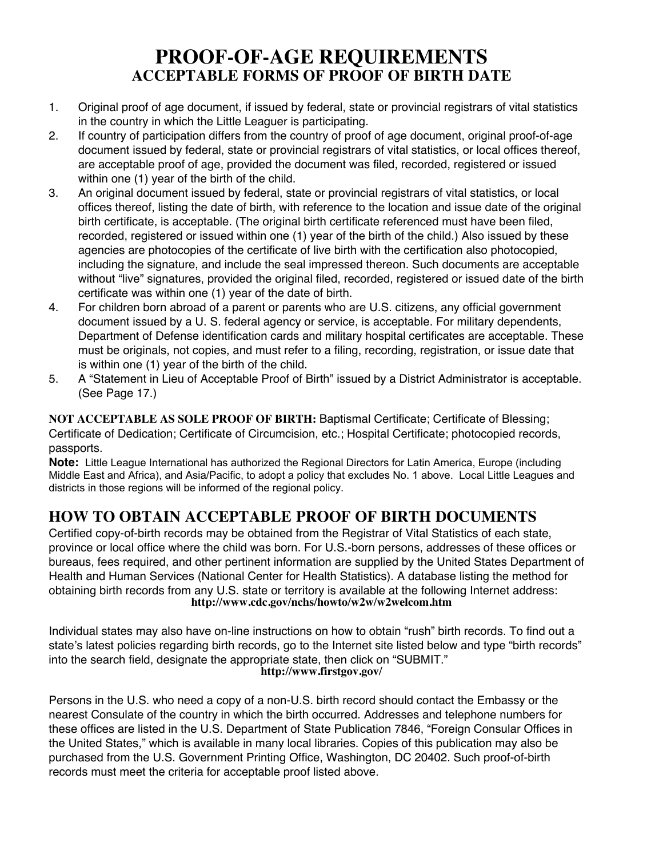## **PROOF-OF-AGE REQUIREMENTS ACCEPTABLE FORMS OF PROOF OF BIRTH DATE**

- 1. Original proof of age document, if issued by federal, state or provincial registrars of vital statistics in the country in which the Little Leaguer is participating.
- 2. If country of participation differs from the country of proof of age document, original proof-of-age document issued by federal, state or provincial registrars of vital statistics, or local offices thereof, are acceptable proof of age, provided the document was filed, recorded, registered or issued within one (1) year of the birth of the child.
- 3. An original document issued by federal, state or provincial registrars of vital statistics, or local offices thereof, listing the date of birth, with reference to the location and issue date of the original birth certificate, is acceptable. (The original birth certificate referenced must have been filed, recorded, registered or issued within one (1) year of the birth of the child.) Also issued by these agencies are photocopies of the certificate of live birth with the certification also photocopied, including the signature, and include the seal impressed thereon. Such documents are acceptable without "live" signatures, provided the original filed, recorded, registered or issued date of the birth certificate was within one (1) year of the date of birth.
- 4. For children born abroad of a parent or parents who are U.S. citizens, any official government document issued by a U. S. federal agency or service, is acceptable. For military dependents, Department of Defense identification cards and military hospital certificates are acceptable. These must be originals, not copies, and must refer to a filing, recording, registration, or issue date that is within one (1) year of the birth of the child.
- 5. A "Statement in Lieu of Acceptable Proof of Birth" issued by a District Administrator is acceptable. (See Page 17.)

**NOT ACCEPTABLE AS SOLE PROOF OF BIRTH:** Baptismal Certificate; Certificate of Blessing; Certificate of Dedication; Certificate of Circumcision, etc.; Hospital Certificate; photocopied records, passports.

**Note:** Little League International has authorized the Regional Directors for Latin America, Europe (including Middle East and Africa), and Asia/Pacific, to adopt a policy that excludes No. 1 above. Local Little Leagues and districts in those regions will be informed of the regional policy.

## **HOW TO OBTAIN ACCEPTABLE PROOF OF BIRTH DOCUMENTS**

Certified copy-of-birth records may be obtained from the Registrar of Vital Statistics of each state, province or local office where the child was born. For U.S.-born persons, addresses of these offices or bureaus, fees required, and other pertinent information are supplied by the United States Department of Health and Human Services (National Center for Health Statistics). A database listing the method for obtaining birth records from any U.S. state or territory is available at the following Internet address: **http://www.cdc.gov/nchs/howto/w2w/w2welcom.htm**

Individual states may also have on-line instructions on how to obtain "rush" birth records. To find out a state's latest policies regarding birth records, go to the Internet site listed below and type "birth records" into the search field, designate the appropriate state, then click on "SUBMIT." **http://www.firstgov.gov/**

Persons in the U.S. who need a copy of a non-U.S. birth record should contact the Embassy or the nearest Consulate of the country in which the birth occurred. Addresses and telephone numbers for these offices are listed in the U.S. Department of State Publication 7846, "Foreign Consular Offices in the United States," which is available in many local libraries. Copies of this publication may also be purchased from the U.S. Government Printing Office, Washington, DC 20402. Such proof-of-birth records must meet the criteria for acceptable proof listed above.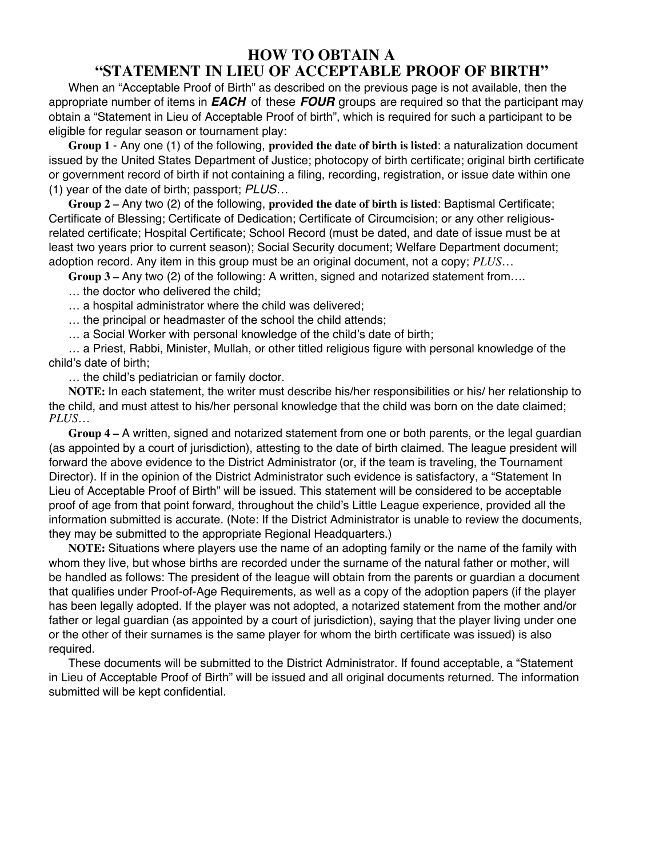## **HOW TO OBTAIN A "STATEMENT IN LIEU OF ACCEPTABLE PROOF OF BIRTH"**

When an "Acceptable Proof of Birth" as described on the previous page is not available, then the appropriate number of items in *EACH* of these *FOUR* groups are required so that the participant may obtain a "Statement in Lieu of Acceptable Proof of birth", which is required for such a participant to be eligible for regular season or tournament play:

**Group 1** - Any one (1) of the following, **provided the date of birth is listed**: a naturalization document issued by the United States Department of Justice; photocopy of birth certificate; original birth certificate or government record of birth if not containing a filing, recording, registration, or issue date within one (1) year of the date of birth; passport; *PLUS…*

**Group 2 –** Any two (2) of the following, **provided the date of birth is listed**: Baptismal Certificate; Certificate of Blessing; Certificate of Dedication; Certificate of Circumcision; or any other religiousrelated certificate; Hospital Certificate; School Record (must be dated, and date of issue must be at least two years prior to current season); Social Security document; Welfare Department document; adoption record. Any item in this group must be an original document, not a copy; *PLUS…*

**Group 3 –** Any two (2) of the following: A written, signed and notarized statement from….

… the doctor who delivered the child;

… a hospital administrator where the child was delivered;

… the principal or headmaster of the school the child attends;

… a Social Worker with personal knowledge of the child's date of birth;

… a Priest, Rabbi, Minister, Mullah, or other titled religious figure with personal knowledge of the child's date of birth;

… the child's pediatrician or family doctor.

**NOTE:** In each statement, the writer must describe his/her responsibilities or his/ her relationship to the child, and must attest to his/her personal knowledge that the child was born on the date claimed; *PLUS…*

**Group 4 –** A written, signed and notarized statement from one or both parents, or the legal guardian (as appointed by a court of jurisdiction), attesting to the date of birth claimed. The league president will forward the above evidence to the District Administrator (or, if the team is traveling, the Tournament Director). If in the opinion of the District Administrator such evidence is satisfactory, a "Statement In Lieu of Acceptable Proof of Birth" will be issued. This statement will be considered to be acceptable proof of age from that point forward, throughout the child's Little League experience, provided all the information submitted is accurate. (Note: If the District Administrator is unable to review the documents, they may be submitted to the appropriate Regional Headquarters.)

**NOTE:** Situations where players use the name of an adopting family or the name of the family with whom they live, but whose births are recorded under the surname of the natural father or mother, will be handled as follows: The president of the league will obtain from the parents or guardian a document that qualifies under Proof-of-Age Requirements, as well as a copy of the adoption papers (if the player has been legally adopted. If the player was not adopted, a notarized statement from the mother and/or father or legal guardian (as appointed by a court of jurisdiction), saying that the player living under one or the other of their surnames is the same player for whom the birth certificate was issued) is also required.

These documents will be submitted to the District Administrator. If found acceptable, a "Statement in Lieu of Acceptable Proof of Birth" will be issued and all original documents returned. The information submitted will be kept confidential.